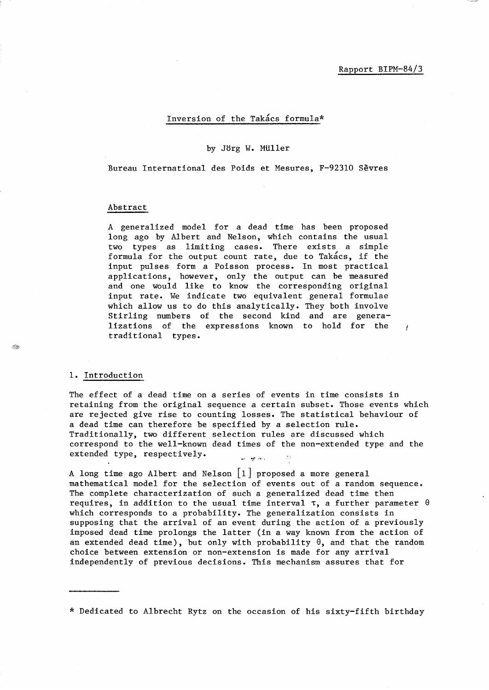$\mathbf{r}$ 

## Inversion of the Takacs formula\*

#### by Jorg W. MUller

Bureau International des Poids et Mesures, F-92310 Sevres

#### Abstract

A generalized model for a dead time has been proposed long ago by Albert and Nelson, which contains the usual two types as limiting cases. There exists a simple formula for the output count rate, due to Takacs, if the input pulses form a Poisson process. In most practical applications, however, only the output can be measured and one would like to know the corresponding original input rate. We indicate two equivalent general formulae which allow us to do this analytically. They both involve Stirling numbers of the second kind and are generalizations of the expressions known to hold for the traditional types.

#### 1. Introduction

The effect of a dead time on a series of events in time consists in retaining from the original sequence a certain subset. Those events which are rejected give rise to counting losses. The statistical behaviour of a dead time can therefore be specified by a selection rule. Traditionally, two different selection rules are discussed which correspond to the well-known dead times of the non-extended type and the extended type, respectively. an agricoloj

A long time ago Albert and Nelson [1] proposed a more general mathematical model for the selection of events out of a random sequence. The complete characterization of such a generalized dead time then requires, in addition to the usual time interval  $\tau$ , a further parameter  $\theta$ which corresponds to a probability. The generalization consists in supposing that the arrival of an event during the action of a previously imposed dead time prolongs the latter (in a way known from the action of an extended dead time), but only with probability  $\theta$ , and that the random choice between extension or non-extension is made for any arrival independently of previous decisions. This mechanism assures that for

\* Dedicated to Albrecht Rytz on the occasion of his sixty-fifth birthday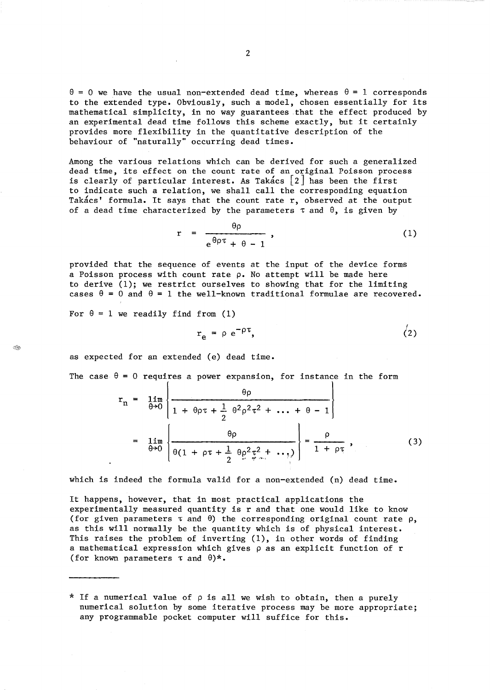$\theta = 0$  we have the usual non-extended dead time, whereas  $\theta = 1$  corresponds to the extended type. Obviously, such a model, chosen essentially for its mathematical simplicity, in no way guarantees that the effect produced by an experimental dead time follows this scheme exactly, but it certainly provides more flexibility in the quantitative description of the behaviour of "naturally" occurring dead times.

Among the various relations which can be derived for such a generalized dead time, its effect on the count rate of an original Poisson process is clearly of particular interest. As Takacs  $\lceil 2 \rceil$  has been the first to indicate such a relation, we shall call the corresponding equation Takacs' formula. It says that the count rate r, observed at the output of a dead time characterized by the parameters  $\tau$  and  $\theta$ , is given by

$$
r = \frac{\theta \rho}{e^{\theta \rho \tau} + \theta - 1}, \qquad (1)
$$

provided that the sequence of events at the input of the device forms a Poisson process with count rate  $\rho$ . No attempt will be made here to derive (1); we restrict ourselves to showing that for the limiting cases  $\theta = 0$  and  $\theta = 1$  the well-known traditional formulae are recovered.

For  $\theta = 1$  we readily find from (1)

$$
r_e = \rho e^{-\rho \tau}, \qquad (2)
$$

as expected for an extended (e) dead time.

The case  $\theta = 0$  requires a power expansion, for instance in the form

$$
r_n = \lim_{\theta \to 0} \left\{ \frac{\theta \rho}{1 + \theta \rho \tau + \frac{1}{2} \theta^2 \rho^2 \tau^2 + \dots + \theta - 1} \right\}
$$
  
= 
$$
\lim_{\theta \to 0} \left\{ \frac{\theta \rho}{\theta (1 + \rho \tau + \frac{1}{2} \theta \rho^2 \tau^2 + \dots)} \right\} = \frac{\rho}{1 + \rho \tau},
$$
(3)

which is indeed the formula valid for a non-extended (n) dead time.

It happens, however, that in most practical applications the experimentally measured quantity is r and that one would like to know (for given parameters  $\tau$  and  $\theta$ ) the corresponding original count rate  $\rho$ , as this will normally be the quantity which is of physical interest. This raises the problem of inverting (1), in other words of finding a mathematical expression which gives  $\rho$  as an explicit function of  $r$ (for known parameters  $\tau$  and  $\theta$ )\*.

 $\otimes$ 

<sup>\*</sup> If a numerical value of  $\rho$  is all we wish to obtain, then a purely numerical solution by some iterative process may be more appropriate; any programmable pocket computer will suffice for this.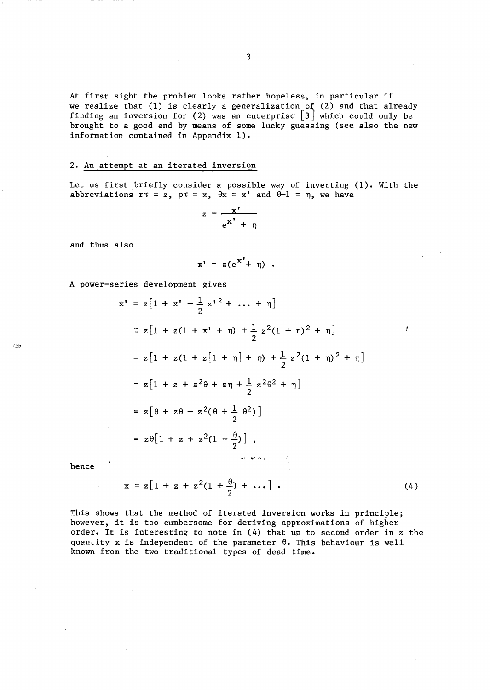At first sight the problem looks rather hopeless, in particular if we realize that (1) is clearly a generalization of (2) and that already finding an inversion for (2) was an enterprise  $\left[\begin{smallmatrix} 3 \end{smallmatrix}\right]$  which could only be brought to a good end by means of some lucky guessing (see also the new information contained in Appendix 1).

# 2. An attempt at an iterated inversion

Let us first briefly consider a possible way of inverting (1). With the abbreviations  $r\tau = z$ ,  $\rho\tau = x$ ,  $\theta x = x'$  and  $\theta - 1 = \eta$ , we have

$$
z = \frac{x^{\prime}}{e^{x^{\prime}} + \eta}
$$

and thus also

$$
x' = z(e^{X'} + \eta) .
$$

A power-series development gives

$$
\dot{x} = z[1 + x^r + \frac{1}{2}x^2 + \dots + \eta]
$$
\n
$$
\approx z[1 + z(1 + x^r + \eta) + \frac{1}{2}z^2(1 + \eta)^2 + \eta]
$$
\n
$$
= z[1 + z(1 + z[1 + \eta] + \eta) + \frac{1}{2}z^2(1 + \eta)^2 + \eta]
$$
\n
$$
= z[1 + z + z^2\theta + z\eta + \frac{1}{2}z^2\theta^2 + \eta]
$$
\n
$$
= z[\theta + z\theta + z^2(\theta + \frac{1}{2}\theta^2)]
$$
\n
$$
= z\theta[1 + z + z^2(1 + \frac{\theta}{2})],
$$

hence

E.

$$
x = z[1 + z + z2(1 + \frac{\theta}{2}) + ...]. \qquad (4)
$$

ł

This shows that the method of iterated inversion works in principle; however, it is too cumbersome for deriving approximations of higher order. It is interesting to note in (4) that up to second order in z the quantity x is independent of the parameter  $\theta$ . This behaviour is well known from the two traditional types of dead time.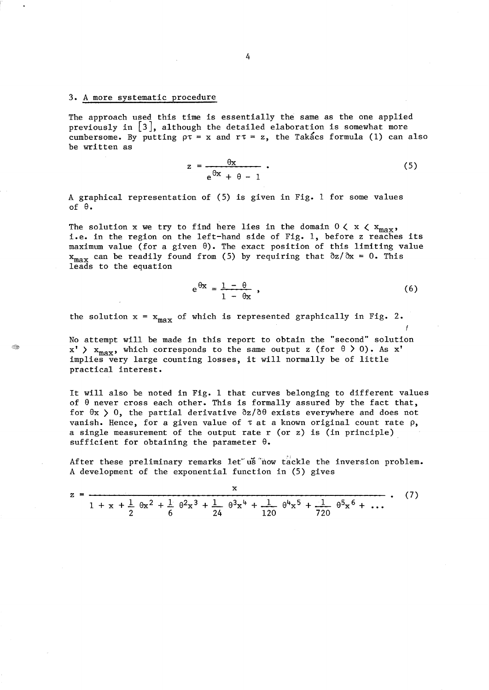### 3. A more systematic procedure

The approach used this time is essentially the same as the one applied previously in  $\lfloor 3 \rfloor$ , although the detailed elaboration is somewhat more cumbersome. By putting  $\rho \tau = x$  and  $r \tau = z$ , the Takacs formula (1) can also be written as

$$
z = \frac{\theta x}{e^{\theta x} + \theta - 1} \,. \tag{5}
$$

A graphical representation of (5) is given in Fig. 1 for some values of  $\theta$ .

The solution x we try to find here lies in the domain  $0 \lt x \lt x_{max}$ , i.e. in the region on the left-hand side of Fig. 1, before z reaches its maximum value (for a given  $\theta$ ). The exact position of this limiting value  $x_{max}$  can be readily found from (5) by requiring that  $\partial z/\partial x = 0$ . This leads to the equation

$$
e^{\theta x} = \frac{1 - \theta}{1 - \theta x} \tag{6}
$$

f

the solution  $x = x_{max}$  of which is represented graphically in Fig. 2.

No attempt will be made in this report to obtain the "second" solution  $x'$  >  $x_{max}$ , which corresponds to the same output z (for  $\theta$  > 0). As x' implies very large counting losses, it will normally be of little practical interest.

It will also be noted in Fig. 1 that curves belonging to different values of  $\theta$  never cross each other. This is formally assured by the fact that, for  $\theta$ x  $>$  0, the partial derivative  $\partial z/\partial \theta$  exists everywhere and does not vanish. Hence, for a given value of  $\tau$  at a known original count rate  $\rho$ , a single measurement of the output rate r (or z) is (in principle) sufficient for obtaining the parameter  $\theta$ .

After these preliminary remarks let us now tackle the inversion problem. A development of the exponential function in (5) gives

$$
z = \frac{x}{1 + x + \frac{1}{2} \theta x^2 + \frac{1}{6} \theta^2 x^3 + \frac{1}{24} \theta^3 x^4 + \frac{1}{120} \theta^4 x^5 + \frac{1}{720} \theta^5 x^6 + \dots}
$$
 (7)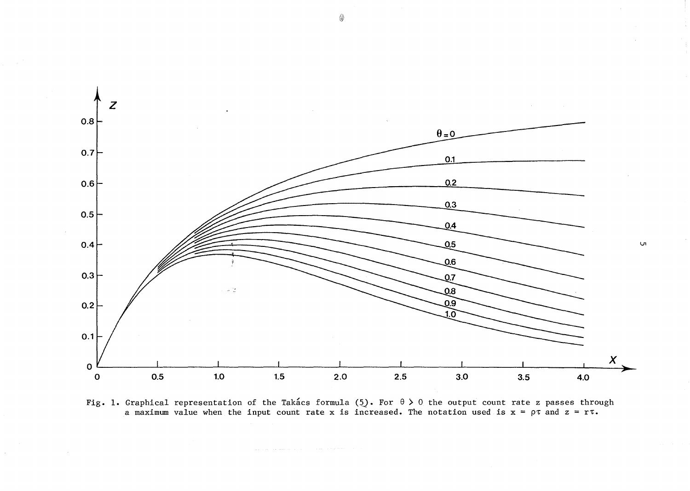

Fig. 1. Graphical representation of the Takacs formula (5). For  $\theta > 0$  the output count rate z passes through a maximum value when the input count rate x is increased. The notation used is  $x = \rho \tau$  and  $z = r \tau$ .

 $\mathbb{Q}$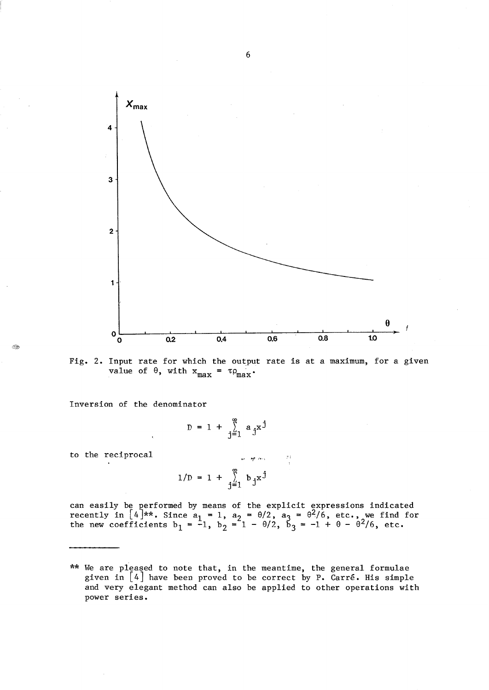

Fig. 2. Input rate for which the output rate is at a maximum, for a given value of  $\theta$ , with  $x_{max} = \tau \rho_{max}$ .

Inversion of the denominator

$$
D = 1 + \sum_{j=1}^{\infty} a_j x^j
$$

to the reciprocal

$$
1/D = 1 + \sum_{j=1}^{\infty} b_j x^j
$$

can easily be performed by means of the explicit expressions indicated recently in  $[4]**$ . Since  $a_1 = 1$ ,  $a_2 = \theta/2$ ,  $a_3 = \theta^2/6$ , etc., we find for the new coefficients  $b_1 = -1$ ,  $b_2 = 1 - \theta/2$ ,  $b_3 = -1 + \theta - \theta^2/6$ , etc.

:'j

ිම

<sup>\*\*</sup> We are pleased to note that, in the meantime, the general formulae given in  $\lfloor 4 \rfloor$  have been proved to be correct by P. Carré. His simple and very elegant method can also be applied to other operations with power series.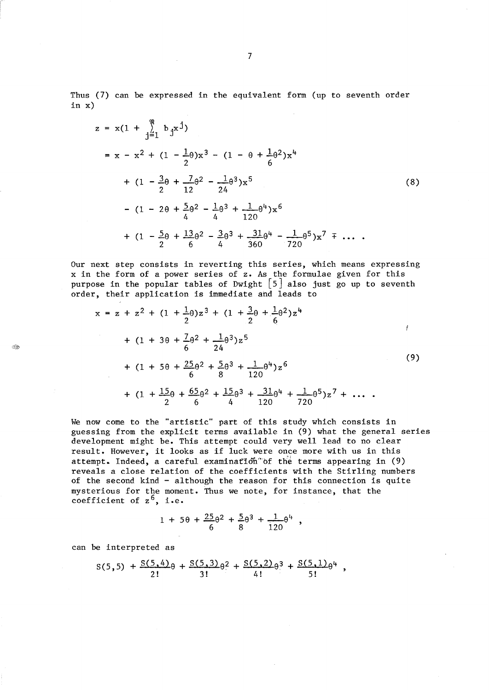Thus (7) can be expressed in the equivalent form (up to seventh order in x)

$$
z = x(1 + \sum_{j=1}^{8} b_j x^j)
$$
  
\n
$$
= x - x^2 + (1 - \frac{1}{2}\theta)x^3 - (1 - \theta + \frac{1}{6}\theta^2)x^4
$$
  
\n
$$
+ (1 - \frac{3}{2}\theta + \frac{7}{12}\theta^2 - \frac{1}{24}\theta^3)x^5
$$
  
\n
$$
- (1 - 2\theta + \frac{5}{4}\theta^2 - \frac{1}{4}\theta^3 + \frac{1}{120}\theta^4)x^6
$$
  
\n
$$
+ (1 - \frac{5}{2}\theta + \frac{13}{6}\theta^2 - \frac{3}{4}\theta^3 + \frac{31}{360}\theta^4 - \frac{1}{720}\theta^5)x^7 \neq \dots
$$

Our next step consists in reverting this series, which means expressing x in the form of a power series of z. As the formulae given for this order, their application is immediate and leads to

purpose in the popular tables of Dwight 
$$
[5]
$$
 also just go up to seventh order, their application is immediate and leads to

\n
$$
x = z + z^{2} + (1 + \frac{1}{2}\theta)z^{3} + (1 + \frac{3}{2}\theta + \frac{1}{2}\theta^{2})z^{4}
$$
\n
$$
+ (1 + 3\theta + \frac{7}{6}\theta^{2} + \frac{1}{24}\theta^{3})z^{5}
$$
\n
$$
+ (1 + 5\theta + \frac{25}{6}\theta^{2} + \frac{5}{8}\theta^{3} + \frac{1}{120}\theta^{4})z^{6}
$$
\n
$$
+ (1 + \frac{15}{2}\theta + \frac{65}{6}\theta^{2} + \frac{15}{4}\theta^{3} + \frac{31}{120}\theta^{4} + \frac{1}{720}\theta^{5})z^{7} + \dots
$$
\n(9)

We now come to the "artistic" part of this study which consists in guessing from the explicit terms available in (9) what the general series development might be. This attempt could very well lead to no clear result. However, it looks as if luck were once more with us in this attempt. Indeed, a careful examination of the terms appearing in (9) reveals a close relation of the coefficients with the 8tirling numbers of the second kind - although the reason for this connection is quite mysterious for the moment. Thus we note, for instance, that the coefficient of  $z^6$ , i.e.

$$
1 + 5\theta + \frac{25}{6}\theta^2 + \frac{5}{8}\theta^3 + \frac{1}{120}\theta^4
$$

can be interpreted as

Q.

$$
S(5,5) + \frac{S(5,4)}{2!} \theta + \frac{S(5,3)}{3!} \theta^2 + \frac{S(5,2)}{4!} \theta^3 + \frac{S(5,1)}{5!} \theta^4,
$$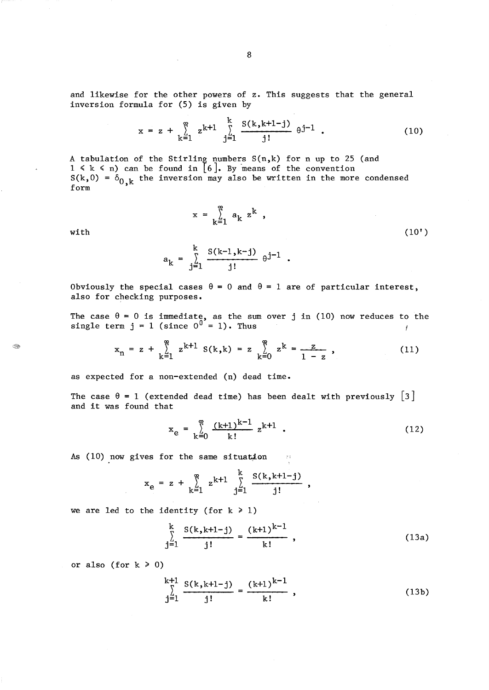and likewise for the other powers of z. This suggests that the general inversion formula for (5) is given by

$$
x = z + \sum_{k=1}^{\infty} z^{k+1} \sum_{j=1}^{k} \frac{S(k, k+1-j)}{j!} \theta^{j-1} . \qquad (10)
$$

A tabulation of the Stirling numbers  $S(n,k)$  for n up to 25 (and  $1 \le k \le n$ ) can be found in [6]. By means of the convention  $S(k,0) = \delta_{0,k}$  the inversion may also be written in the more condensed form

Q.

$$
a_k = \sum_{j=1}^k \frac{S(k-1, k-j)}{j!} \theta^{j-1} .
$$

 $x = \sum_{k=1}^{\infty} a_k z^k$ ,

Obviously the special cases  $\theta = 0$  and  $\theta = 1$  are of particular interest, also for checking purposes.

The case  $\theta = 0$  is immediate, as the sum over j in (10) now reduces to the single term  $j = 1$  (since  $0^{0} = 1$ ). Thus Ť

$$
x_n = z + \sum_{k=1}^{\infty} z^{k+1} S(k,k) = z \sum_{k=0}^{\infty} z^k = \frac{z}{1-z}, \qquad (11)
$$

as expected for a non-extended (n) dead time.

The case  $\theta = 1$  (extended dead time) has been dealt with previously [3] and it was found that

$$
x_e = \sum_{k=0}^{\infty} \frac{(k+1)^{k-1}}{k!} z^{k+1} .
$$
 (12)

As (10) now gives for the same situation

$$
x_e = z + \sum_{k=1}^{\infty} z^{k+1} \sum_{j=1}^{k} \frac{S(k, k+1-j)}{j!}
$$

we are led to the identity (for  $k \ge 1$ )

$$
\sum_{j=1}^{k} \frac{S(k, k+1-j)}{j!} = \frac{(k+1)^{k-1}}{k!},
$$
\n(13a)

or also (for  $k \ge 0$ )

$$
\sum_{j=1}^{k+1} \frac{S(k, k+1-j)}{j!} = \frac{(k+1)^{k-1}}{k!},
$$
\n(13b)

with  $(10')$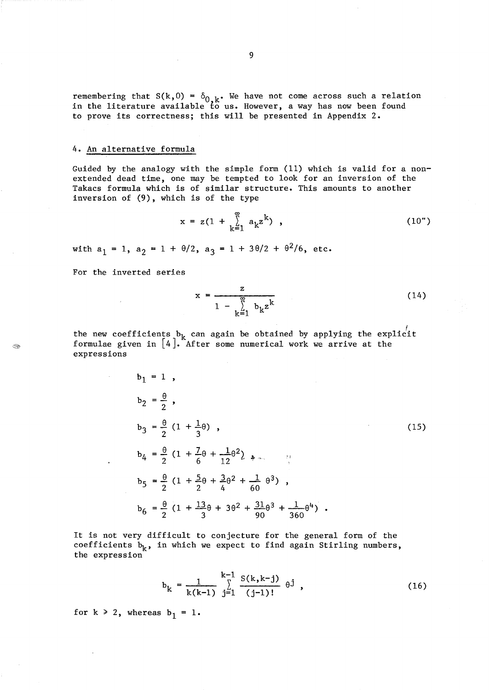remembering that  $S(k,0) = \delta_{0,k}$ . We have not come across such a relation in the literature available to *us.* However, a way has now been found to prove its correctness; this will be presented in Appendix 2.

## 4. An alternative formula

Guided by the analogy with the simple form (11) which is valid for a nonextended dead time, one may be tempted to look for an inversion of the Takacs formula which is of similar structure. This amounts to another inversion of (9), which is of the type

$$
x = z(1 + \sum_{k=1}^{\infty} a_k z^k), \qquad (10")
$$

with  $a_1 = 1$ ,  $a_2 = 1 + \theta/2$ ,  $a_3 = 1 + 3\theta/2 + \theta^2/6$ , etc.

For the inverted series

$$
x = \frac{z}{1 - \sum_{k=1}^{\infty} b_k z^k}
$$
 (14)

the new coefficients  $b_k$  can again be obtained by applying the explicit formulae given in  $[4]$ . After some numerical work we arrive at the expressions

$$
b_1 = 1,
$$
  
\n
$$
b_2 = \frac{\theta}{2},
$$
  
\n
$$
b_3 = \frac{\theta}{2} (1 + \frac{1}{3} \theta),
$$
  
\n
$$
b_4 = \frac{\theta}{2} (1 + \frac{7}{6} \theta + \frac{1}{12} \theta^2),
$$
  
\n
$$
b_5 = \frac{\theta}{2} (1 + \frac{5}{2} \theta + \frac{3}{4} \theta^2 + \frac{1}{60} \theta^3),
$$
  
\n
$$
b_6 = \frac{\theta}{2} (1 + \frac{13}{3} \theta + 3 \theta^2 + \frac{31}{90} \theta^3 + \frac{1}{360} \theta^4).
$$
\n(15)

It is not very difficult to conjecture for the general form of the coefficients  $b_k$ , in which we expect to find again Stirling numbers, the expression

$$
b_k = \frac{1}{k(k-1)} \sum_{j=1}^{k-1} \frac{S(k, k-j)}{(j-1)!} \theta^j,
$$
 (16)

for  $k \ge 2$ , whereas  $b_1 = 1$ .

9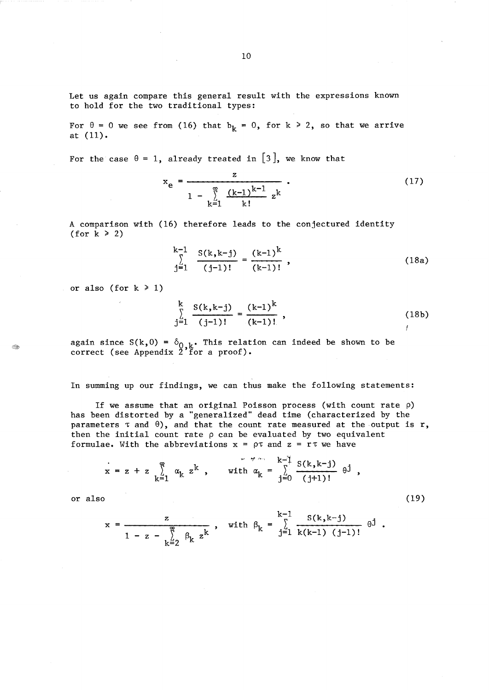Let us again compare this general result with the expressions known to hold for the two traditional types:

For  $\theta = 0$  we see from (16) that  $b_k = 0$ , for  $k \ge 2$ , so that we arrive at (11).

For the case  $\theta = 1$ , already treated in [3], we know that

$$
x_{e} = \frac{z}{1 - \sum_{k=1}^{\infty} \frac{(k-1)^{k-1}}{k!} z^{k}}
$$
 (17)

A comparison with (16) therefore leads to the conjectured identity (for  $k \ge 2$ )

$$
\sum_{j=1}^{k-1} \frac{S(k,k-j)}{(j-1)!} = \frac{(k-1)^k}{(k-1)!},
$$
\n(18a)

or also (for  $k \ge 1$ )

$$
\sum_{j=1}^{k} \frac{S(k,k-j)}{(j-1)!} = \frac{(k-1)^{k}}{(k-1)!}, \qquad (18b)
$$

again since  $S(k,0) = \delta_{0,k}$ . This relation can indeed be shown to be correct (see Appendix  $2^{\prime}$  for a proof).

In summing up our findings, we can thus make the following statements:

If we assume that an original Poisson process (with count rate  $\rho$ ) has been distorted by a "generalized" dead time (characterized by the parameters  $\tau$  and  $\theta$ ), and that the count rate measured at the output is r, then the initial count rate  $\rho$  can be evaluated by two equivalent formulae. With the abbreviations  $x = \rho \tau$  and  $z = r \tau$  we have

$$
x = z + z \sum_{k=1}^{\infty} \alpha_k z^k, \quad \text{with } \alpha_k = \sum_{j=0}^{k-1} \frac{S(k, k-j)}{(j+1)!} \theta^j,
$$

 $\alpha$  also (19)

$$
x = \frac{z}{1 - z - \sum_{k=2}^{\infty} \beta_k z^k}, \text{ with } \beta_k = \sum_{j=1}^{k-1} \frac{S(k, k-j)}{k(k-1) (j-1)!} \theta^j.
$$

න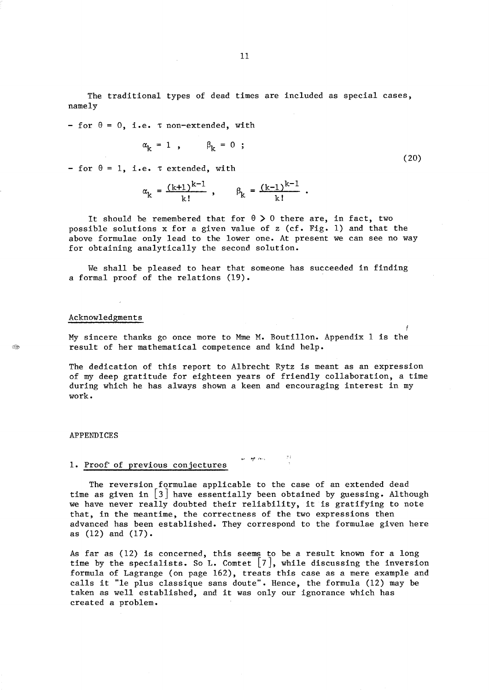The traditional types of dead times are included as special cases, namely

- for  $\theta = 0$ , i.e.  $\tau$  non-extended, with

$$
\alpha_{k} = 1 , \qquad \beta_{k} = 0 ;
$$

- for  $\theta = 1$ , i.e.  $\tau$  extended, with

$$
\alpha_k = \frac{(k+1)^{k-1}}{k!}, \qquad \beta_k = \frac{(k-1)^{k-1}}{k!}.
$$

It should be remembered that for  $\theta > 0$  there are, in fact, two possible solutions x for a given value of z (cf. Fig. 1) and that the above formulae only lead to the lower one. At present we can see no way for obtaining analytically the second solution.

We shall be pleased to hear that someone has succeeded in finding a formal proof of the relations (19).

#### Acknowledgments

୍ର

My sincere thanks go once more to Mme M. Boutillon. Appendix 1 is the result of her mathematical competence and kind help.

The dedication of this report to Albrecht Rytz is meant as an expression of my deep gratitude for eighteen years of friendly collaboration, a time during which he has always shown a keen and encouraging interest in my work.

#### APPENDICES

## **1.** Proof of previous conjectures

The reversion formulae applicable to the case of an extended dead time as given in  $\lceil 3 \rceil$  have essentially been obtained by guessing. Although we have never really doubted their reliability, it is gratifying to note that, in the meantime, the correctness of the two expressions then advanced has been established. They correspond to the formulae given here as (12) and (17).

",I **fJf,"** ,-•. ,

As far as (12) is concerned, this seems to be a result known for a long time by the specialists. So L. Comtet  $\lceil 7 \rceil$ , while discussing the inversion formula of Lagrange (on page 162), treats this case as a mere example and calls it "le plus classique sans doute". Hence, the formula (12) may be taken as well established, and it was only our ignorance which has created a problem.

(20)

*t*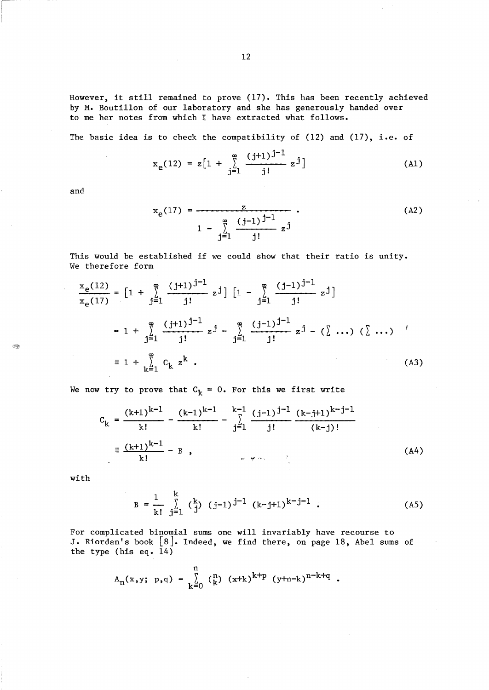However, it still remained to prove (17). This has been recently achieved by M. Boutillon of our laboratory and she has generously handed over to me her notes from which I have extracted what follows.

The basic idea is to check the compatibility of (12) and (17), i.e. of

$$
x_e(12) = z \left[ 1 + \sum_{j=1}^{\infty} \frac{(j+1)^{j-1}}{j!} z^j \right]
$$
 (A1)

and

 $\lambda$ 

4

$$
x_e(17) = \frac{z}{1 - \sum_{j=1}^{\infty} \frac{(j-1)^{j-1}}{j!} z^j}
$$
 (A2)

This would be established if we could show that their ratio is unity. We therefore form

$$
\frac{x_e(12)}{x_e(17)} = \left[1 + \sum_{j=1}^{\infty} \frac{(j+1)^{j-1}}{j!} z^j\right] \left[1 - \sum_{j=1}^{\infty} \frac{(j-1)^{j-1}}{j!} z^j\right]
$$
  
\n
$$
= 1 + \sum_{j=1}^{\infty} \frac{(j+1)^{j-1}}{j!} z^j - \sum_{j=1}^{\infty} \frac{(j-1)^{j-1}}{j!} z^j - (\sum \dots) (\sum \dots)'
$$
  
\n
$$
= 1 + \sum_{k=1}^{\infty} C_k z^k .
$$
 (A3)

We now try to prove that  $C_k = 0$ . For this we first write

$$
C_{k} = \frac{(k+1)^{k-1}}{k!} - \frac{(k-1)^{k-1}}{k!} - \sum_{j=1}^{k-1} \frac{(j-1)^{j-1}}{j!} \frac{(k-j+1)^{k-j-1}}{(k-j)!}
$$
  

$$
\equiv \frac{(k+1)^{k-1}}{k!} - B,
$$
 (A4)

with

$$
B = \frac{1}{k!} \sum_{j=1}^{k} {k \choose j} (j-1)^{j-1} (k-j+1)^{k-j-1} .
$$
 (A5)

 $\sim$   $\sim$ 

For complicated binomial sums one will invariably have recourse to J. Riordan's book [8]. Indeed, we find there, on page 18, Abel sums of the type (his eq. 14)

$$
A_n(x,y; p,q) = \sum_{k=0}^n {n \choose k} (x+k)^{k+p} (y+n-k)^{n-k+q}.
$$

 $\mathcal{L}_{\mathcal{A}}$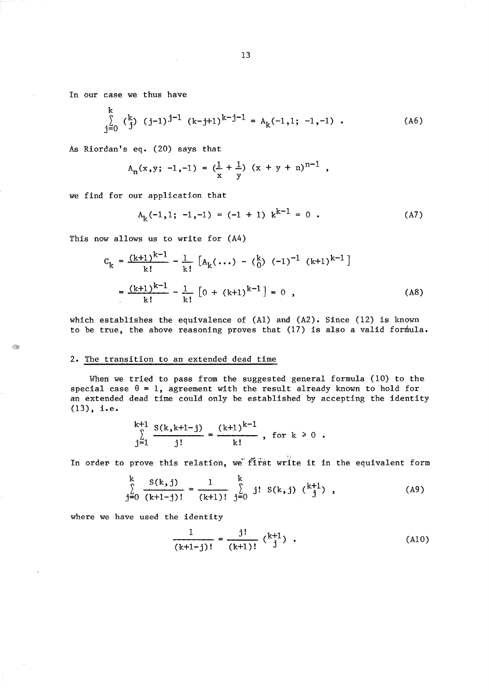In our case we thus have

$$
\sum_{j=0}^{k} \binom{k}{j} (j-1)^{j-1} (k-j+1)^{k-j-1} = A_{k}(-1,1; -1, -1) . \qquad (A6)
$$

As Riordan's eq. (20) says that

$$
A_n(x,y; -1, -1) = (\frac{1}{x} + \frac{1}{y}) (x + y + n)^{n-1},
$$

we find for our application that

$$
A_k(-1,1; -1, -1) = (-1 + 1) k^{k-1} = 0.
$$
 (A7)

This now allows us to write for (A4)

$$
C_{k} = \frac{(k+1)^{k-1}}{k!} - \frac{1}{k!} \left[ A_{k}(\ldots) - {k \choose 0} (-1)^{-1} (k+1)^{k-1} \right]
$$
  
=  $\frac{(k+1)^{k-1}}{k!} - \frac{1}{k!} \left[ 0 + (k+1)^{k-1} \right] = 0$ , (A8)

which establishes the equivalence of  $(A1)$  and  $(A2)$ . Since  $(12)$  is known to be true, the above reasoning proves that  $(17)$  is also a valid formula.

## 2. The transition to an extended dead time

ිම

When we tried to pass from the suggested general formula (10) to the special case  $\theta = 1$ , agreement with the result already known to hold for an extended dead time could only be established by accepting the identity  $(13)$ , i.e.

$$
\sum_{j=1}^{k+1} \frac{S(k, k+1-j)}{j!} = \frac{(k+1)^{k-1}}{k!}, \text{ for } k \ge 0.
$$

In order to prove this relation, we first write it in the equivalent form\n
$$
\sum_{j=0}^{k} \frac{S(k,j)}{(k+1-j)!} = \frac{1}{(k+1)!} \sum_{j=0}^{k} j! S(k,j) \binom{k+1}{j},
$$
\n(A9)

where we have used the identity

$$
\frac{1}{(k+1-j)!} = \frac{j!}{(k+1)!} \; {\binom{k+1}{j}} \; . \tag{A10}
$$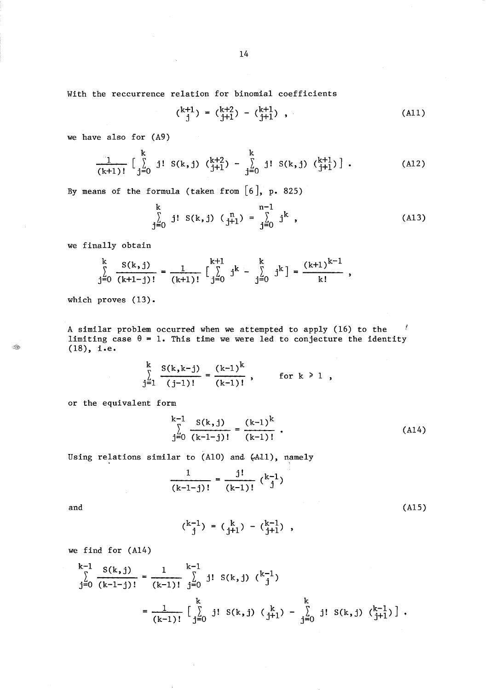With the reccurrence relation for binomial coefficients

$$
\begin{pmatrix} k+1 \\ j \end{pmatrix} = \begin{pmatrix} k+2 \\ j+1 \end{pmatrix} - \begin{pmatrix} k+1 \\ j+1 \end{pmatrix} , \qquad (A11)
$$

we have also for (A9)

$$
\frac{1}{(k+1)!} \begin{bmatrix} k \\ \sum_{j=0}^{k} j! \ S(k,j) \ {k+2 \choose j+1} - \sum_{j=0}^{k} j! \ S(k,j) \ {k+1 \choose j+1} \end{bmatrix}.
$$
 (A12)

By means of the formula (taken from  $[6]$ , p. 825)

$$
\sum_{j=0}^{k} j! S(k,j) \left( \begin{matrix} n \\ j+1 \end{matrix} \right) = \sum_{j=0}^{n-1} j^{k} , \qquad (A13)
$$

we finally obtain

$$
\sum_{j=0}^{k} \frac{S(k,j)}{(k+1-j)!} = \frac{1}{(k+1)!} \left[ \sum_{j=0}^{k+1} j^{k} - \sum_{j=0}^{k} j^{k} \right] = \frac{(k+1)^{k-1}}{k!},
$$

which proves (13).

A similar problem occurred when we attempted to apply (16) to the limiting case  $\theta = 1$ . This time we were led to conjecture the identity (18), i.e.

$$
\sum_{j=1}^{k} \frac{S(k, k-j)}{(j-1)!} = \frac{(k-1)^k}{(k-1)!}, \quad \text{for } k \ge 1,
$$

or the equivalent form

$$
\sum_{j=0}^{k-1} \frac{S(k,j)}{(k-1-j)!} = \frac{(k-1)^k}{(k-1)!} \tag{A14}
$$

Using relations similar to  $(A10)$  and  $(A11)$ , namely

$$
\frac{1}{(k-1-j)!} = \frac{j!}{(k-1)!} {k-1 \choose j}
$$
\n(A15)

and

Ŵ

$$
\binom{k-1}{j} = \binom{k}{j+1} - \binom{k-1}{j+1} ,
$$

we find for (A14)

$$
\sum_{j=0}^{k-1} \frac{S(k,j)}{(k-1-j)!} = \frac{1}{(k-1)!} \sum_{j=0}^{k-1} j! S(k,j) \binom{k-1}{j}
$$

$$
= \frac{1}{(k-1)!} \left[ \sum_{j=0}^{k} j! S(k,j) \binom{k}{j+1} - \sum_{j=0}^{k} j! S(k,j) \binom{k-1}{j+1} \right].
$$